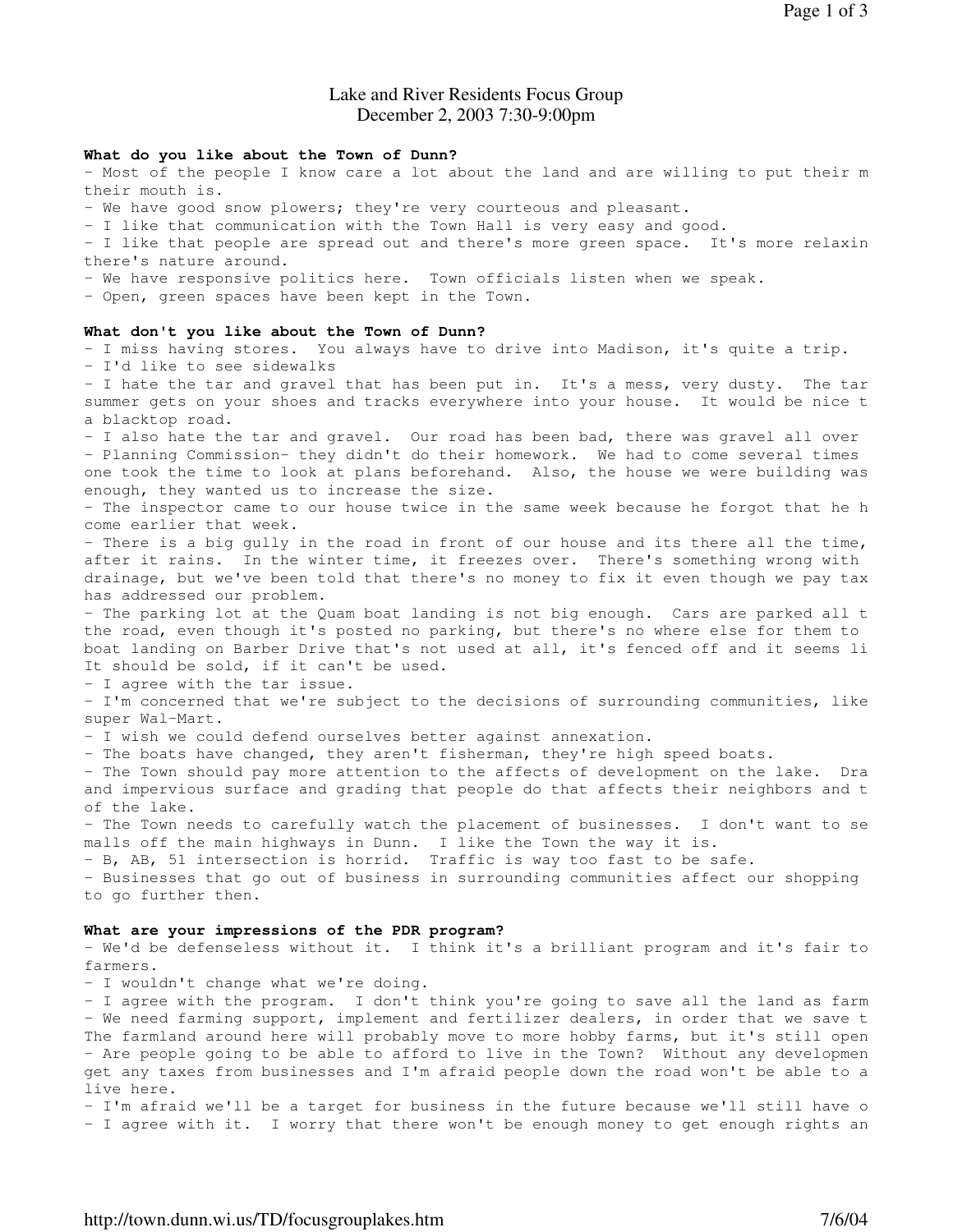# Lake and River Residents Focus Group December 2, 2003 7:30-9:00pm

#### **What do you like about the Town of Dunn?**

- Most of the people I know care a lot about the land and are willing to put their m their mouth is.

- We have good snow plowers; they're very courteous and pleasant.

- I like that communication with the Town Hall is very easy and good.

- I like that people are spread out and there's more green space. It's more relaxin there's nature around.

- We have responsive politics here. Town officials listen when we speak.

- Open, green spaces have been kept in the Town.

### **What don't you like about the Town of Dunn?**

- I miss having stores. You always have to drive into Madison, it's quite a trip.

- I'd like to see sidewalks

- I hate the tar and gravel that has been put in. It's a mess, very dusty. The tar summer gets on your shoes and tracks everywhere into your house. It would be nice t a blacktop road.

- I also hate the tar and gravel. Our road has been bad, there was gravel all over - Planning Commission- they didn't do their homework. We had to come several times one took the time to look at plans beforehand. Also, the house we were building was enough, they wanted us to increase the size.

- The inspector came to our house twice in the same week because he forgot that he h come earlier that week.

- There is a big gully in the road in front of our house and its there all the time, after it rains. In the winter time, it freezes over. There's something wrong with drainage, but we've been told that there's no money to fix it even though we pay tax has addressed our problem.

- The parking lot at the Quam boat landing is not big enough. Cars are parked all t the road, even though it's posted no parking, but there's no where else for them to boat landing on Barber Drive that's not used at all, it's fenced off and it seems li It should be sold, if it can't be used.

- I agree with the tar issue.

- I'm concerned that we're subject to the decisions of surrounding communities, like super Wal-Mart.

- I wish we could defend ourselves better against annexation.

- The boats have changed, they aren't fisherman, they're high speed boats.

- The Town should pay more attention to the affects of development on the lake. Dra and impervious surface and grading that people do that affects their neighbors and t of the lake.

- The Town needs to carefully watch the placement of businesses. I don't want to se malls off the main highways in Dunn. I like the Town the way it is.

- B, AB, 51 intersection is horrid. Traffic is way too fast to be safe.

- Businesses that go out of business in surrounding communities affect our shopping to go further then.

### **What are your impressions of the PDR program?**

- We'd be defenseless without it. I think it's a brilliant program and it's fair to farmers.

- I wouldn't change what we're doing.

- I agree with the program. I don't think you're going to save all the land as farm - We need farming support, implement and fertilizer dealers, in order that we save t The farmland around here will probably move to more hobby farms, but it's still open - Are people going to be able to afford to live in the Town? Without any developmen get any taxes from businesses and I'm afraid people down the road won't be able to a live here.

- I'm afraid we'll be a target for business in the future because we'll still have o

- I agree with it. I worry that there won't be enough money to get enough rights an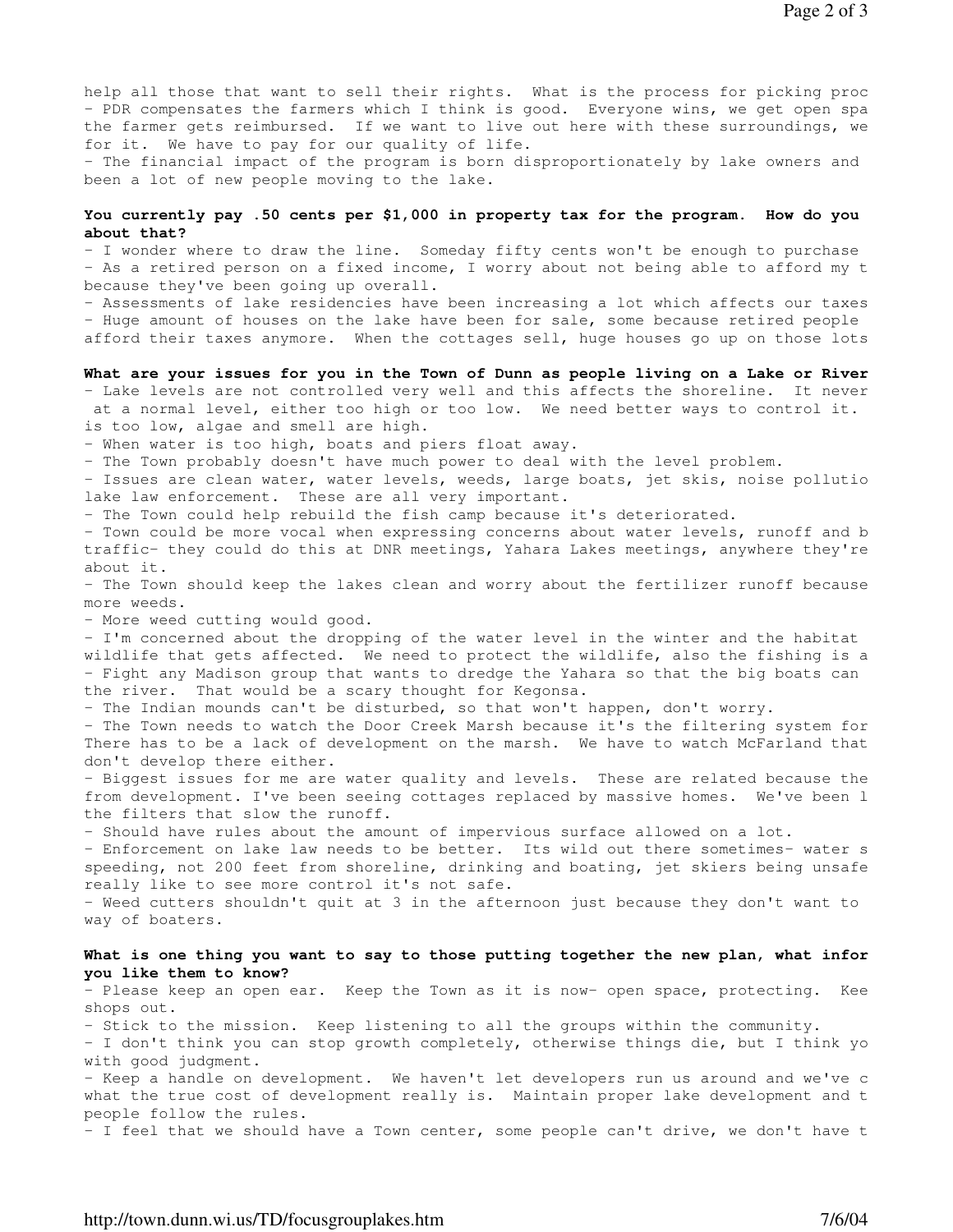help all those that want to sell their rights. What is the process for picking proc - PDR compensates the farmers which I think is good. Everyone wins, we get open spa the farmer gets reimbursed. If we want to live out here with these surroundings, we for it. We have to pay for our quality of life.

- The financial impact of the program is born disproportionately by lake owners and been a lot of new people moving to the lake.

## You currently pay .50 cents per \$1,000 in property tax for the program. How do you **about that?**

- I wonder where to draw the line. Someday fifty cents won't be enough to purchase - As a retired person on a fixed income, I worry about not being able to afford my t because they've been going up overall.

- Assessments of lake residencies have been increasing a lot which affects our taxes - Huge amount of houses on the lake have been for sale, some because retired people afford their taxes anymore. When the cottages sell, huge houses go up on those lots.

#### **What are your issues for you in the Town of Dunn as people living on a Lake or River?**

- Lake levels are not controlled very well and this affects the shoreline. It never at a normal level, either too high or too low. We need better ways to control it. is too low, algae and smell are high.

- When water is too high, boats and piers float away.

- The Town probably doesn't have much power to deal with the level problem.

- Issues are clean water, water levels, weeds, large boats, jet skis, noise pollutio lake law enforcement. These are all very important.

- The Town could help rebuild the fish camp because it's deteriorated.

- Town could be more vocal when expressing concerns about water levels, runoff and b traffic- they could do this at DNR meetings, Yahara Lakes meetings, anywhere they're about it.

- The Town should keep the lakes clean and worry about the fertilizer runoff because more weeds.

- More weed cutting would good.

- I'm concerned about the dropping of the water level in the winter and the habitat wildlife that gets affected. We need to protect the wildlife, also the fishing is a - Fight any Madison group that wants to dredge the Yahara so that the big boats can the river. That would be a scary thought for Kegonsa.

- The Indian mounds can't be disturbed, so that won't happen, don't worry.

- The Town needs to watch the Door Creek Marsh because it's the filtering system for There has to be a lack of development on the marsh. We have to watch McFarland that don't develop there either.

- Biggest issues for me are water quality and levels. These are related because the from development. I've been seeing cottages replaced by massive homes. We've been l the filters that slow the runoff.

- Should have rules about the amount of impervious surface allowed on a lot.

- Enforcement on lake law needs to be better. Its wild out there sometimes- water s speeding, not 200 feet from shoreline, drinking and boating, jet skiers being unsafe really like to see more control it's not safe.

- Weed cutters shouldn't quit at 3 in the afternoon just because they don't want to way of boaters.

## What is one thing you want to say to those putting together the new plan, what infor **you like them to know?**

- Please keep an open ear. Keep the Town as it is now- open space, protecting. Kee shops out.

- Stick to the mission. Keep listening to all the groups within the community.

- I don't think you can stop growth completely, otherwise things die, but I think yo with good judgment.

- Keep a handle on development. We haven't let developers run us around and we've c what the true cost of development really is. Maintain proper lake development and t people follow the rules.

- I feel that we should have a Town center, some people can't drive, we don't have t